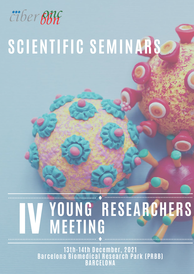

# **YOUNG RESEARCHERS MEETING** WEETING RESEARCH

**13th-14th December, 2021 Barcelona Biomedical Research Park (PRBB) BARCELONA**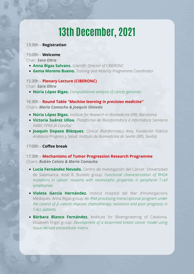### 13:30h – **Registration**

## 15:00h – **Welcome**

Chair: *Sara Oltra*

- **Anna Bigas Salvans.** *Scientific Director of CIBERONC*
- **Gema Moreno Bueno.** *Training and Mobility Programme Coordinator*

## 15:30h – **Plenary Lecture (CIBERONC)**

Chair: *Sara Oltra*

**Núria López Bigas.** *Computational analysis of cancer genomes.*

16:30h – **Round Table** *"Machine learning in precision medicine"* Chairs: *María Camacho & Joaquín Olmedo*

- **Núria López Bigas.** *Institute for Research in Biomedicine (IRB, Barcelona)*
- **Victoria Suárez Ulloa.** *Plataforma de Bioinformática e Informática Sanitaria INIBIC-FPNS (A Coruña)*
- **Joaquín Dopazo Blázquez.** *Clinical Bioinformatics Area, Fundación Pública Andaluza Progreso y Salud. Instituto de Biomedicina de Sevilla (IBIS, Sevilla)*

17:00h – **Coffee break**

17:30h – **Mechanisms of Tumor Progression Research Programme** Chairs: *Rubén Caloto & María Camacho*

- **Lucía Fernández Nevado.** Centro de Investigación del Cáncer*.* Universidad de Salamanca. Xosé R. Bustelo group. *Functional characterization of RHOA mutations in cancer: mutants with neomorphic properties in peripheral T-cell lymphomas.*
- **Violeta García Hernández.** Institut Hospital del Mar d'Investigacions Mèdiques. Anna Bigas group*. An RNA processing transcriptional program under the control of β-catenin imposes chemotherapy resistance and poor prognosis in T-ALL patients.*
- **Bárbara Blanco Fernández.** Institute for Bioengineering of Catalonia. Elisabeth Engel group. *Development of a bioprinted breast cancer model using tissue derived extracellular matrix.*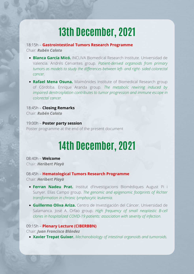18:15h – **Gastrointestinal Tumors Research Programme** Chair: *Rubén Caloto*

- **Blanca García Micó.** INCLIVA Biomedical Research Institute. Universidad de Valencia. Andrés Cervantes group. *Patient-derived organoids from primary tumors as models to study the differences between left- and right- sided colorectal cancer.*
- **Rafael Mena Osuna.** Maimónides Institute of Biomedical Research group of Córdoba. Enrique Aranda group. *The metabolic rewiring induced by impaired denitrosylation contributes to tumor progression and immune escape in colorectal cancer.*

18:45h – **Closing Remarks** Chair: *Rubén Caloto*

19:00h – **Poster party session** Poster programme at the end of the present document

# **14th December, 2021**

08:40h – **Welcome** Chair: *Heribert Playà*

08:45h – **Hematological Tumors Research Programme** Chair: *Heribert Playà*

- **Ferran Nadeu Prat.** Institut d'Investigacions Biomèdiques August Pi i Sunyer. Elías Campo group. *The genomic and epigenomic footprints of Richter transformation in chronic lymphocytic leukemia.*
- **Guillermo Oliva Ariza.** Centro de Investigación del Cáncer. Universidad de Salamanca. José A. Orfao group. *High frequency of small neoplastic B-cell clones in hospitalized COVID-19 patients: association with severity of infection.*

## 09:15h – **Plenary Lecture (CIBERBBN)** Chair: *Juan Francisco Blández*

**Xavier Trepat Guixer.** *Mechanobiology of intestinal organoids and tumoroids.*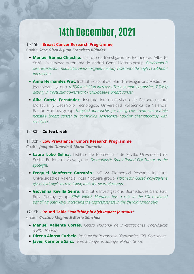## 10:15h – **Breast Cancer Research Programme**

Chairs: *Sara Oltra & Juan Francisco Blández*

- **Manuel Gámez Chiachio.** Instituto de Investigaciones Biomédicas "Alberto Sols". Universidad Autónoma de Madrid. Gema Moreno group. *Gasdermin B over-expression modulates HER2-targeted therapy resistance through LC3B/Rab7 interaction.*
- **Anna Hernández Prat.** Institut Hospital del Mar d'Investigacions Mèdiques. Joan Albanell group. *mTOR inhibition increases Trastuzumab-emtansine (T-DM1) activity in trastuzumab-resistant HER2-positive breast cancer.*
- **Alba García Fernández.** Instituto Interuniversitario de Reconocimiento Molecular y Desarrollo Tecnológico. Universidad Politécnica de Valencia. Ramón Martínez group. *Targeted approaches for the effective treatment of triple negative breast cancer by combining senescence-inducing chemotherapy with senolytics.*

### 11:00h – **Coffee break**

11:30h – **Low Prevalence Tumors Research Programme** Chairs: *Joaquín Olmedo & María Camacho*

- **Laura Lobo Selma.** Instituto de Biomedicina de Sevilla. Universidad de Sevilla. Enrique de Álava group. *Desmoplastic Small Round Cell Tumor on the spotlight.*
- **Ezequiel Monferrer Garzarán.** INCLIVA Biomedical Research Institute. Universidad de Valencia. Rosa Noguera group. *Vitronectin-based polyethylene glycol hydrogels as mimicking tools for neuroblastoma.*
- **Giovanna Revilla Senra.** Institut d'Investigacions Biomèdiques Sant Pau. Rosa Corcoy group. *BRAF V600E Mutation has a role in the LDL-mediated signalling pathways, increasing the aggressiveness in the thyroid tumor cells.*

12:15h – **Round Table** *"Publishing in high impact journals"* Chairs: *Cristina Megino & Mario Sánchez*

- **Manuel Valiente Cortés.** *Centro Nacional de Investigaciones Oncológicas (CNIO, Madrid)*
- **Direna Alonso Curbelo.** *Institute for Research in Biomedicine (IRB, Barcelona)*
- **Javier Carmona Sanz.** *Team Manager in Springer Nature Group*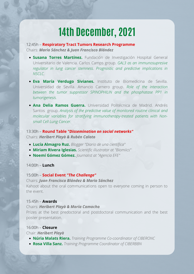## 12:45h – **Respiratory Tract Tumors Research Programme** Chairs: *Mario Sánchez & Juan Francisco Blández*

- **Susana Torres Martínez.** Fundación de Investigación Hospital General Universitario de Valencia. Carlos Camps group. *GAL3 as an immunosupresive regulator in lung cancer stemness. Prognostic and predictive implications in NSCLC.*
- **Eva María Verdugo Sivianes.** Instituto de Biomedicina de Sevilla. Universidad de Sevilla. Amancio Carnero group. *Role of the interaction between the tumor suppressor SPINOPHILIN and the phosphatase PP1 in tumorigenesis.*
- **Ana Delia Ramos Guerra.** Universidad Politécnica de Madrid. Andrés Santos group. *Analysis of the predictive value of monitored routine clinical and molecular variables for stratifying immunotherapy-treated patients with Nonsmall Cell Lung Cancer.*

13:30h – **Round Table** *"Dissemination on social networks"* Chairs: *Heribert Playà & Rubén Caloto*

- **Lucía Almagro Ruz.** *Blogger "Diario de una científica"*
- **Miriam Rivera Iglesias.** *Scientific illustrator at "Biomiics"*
- **Noemí Gómez Gómez.** *Journalist at "Agencia EFE"*

14:00h – **Lunch**

### 15:00h – **Social Event** *"The Challenge"*

### Chairs: *Juan Francisco Blández & Mario Sánchez*

Kahoot about the oral communications open to everyone coming in person to the event.

### 15:45h – **Awards**

### Chairs: *Heribert Playà & María Camacho*

Prizes at the best predoctoral and postdoctoral communication and the best poster presentation.

## 16:00h – **Closure**

Chair: *Heribert Playà*

- **Núria Malats Riera.** *Training Programme Co-coordinator of CIBERONC*
- **Rosa Villa Sanz.** *Training Programme Coordinator of CIBERBBN*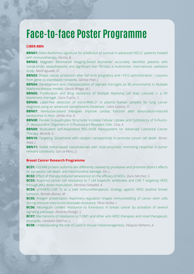### **CIBER-BBN**

**BBN01:** Delta-Radiomics signature for prediction of survival in advanced NSCLC patients treated with immunotherapy. *Farina, B.*

**BBN02:** Magnetic Resonance Imaging-based biomarker accurately identifies patients with nonalcoholic steatohepatitis and significant liver fibrosis: a multicenter, international, validation study. *Martí-Aguado, D.*

**BBN03:** Breast cancer protection after full-term pregnancy and r-hCG administration – Lessons from gene co-expression networks. *Gómez-Pilar, J.*

**BBN04:** Development and characterization of alginate microgels as 3D enviroments in Multiple Myeloma disease models. *García-Briega, M.I.*

**BBN05:** Proliferation and drug resistance of Multiple Myeloma cell lines cultured in a 3D biomimetic microgel. *Clara-Trujillo, S.*

**BBN06:** Label-free detection of micro-RNA-21 in plasma human samples for lung cancer diagnosis using an advanced nanophotonic biosensor. *Calvo-Lozano, O.*

**BBN07:** Navitoclax-based therapies improve cardiac function after doxorubicin-induced senescence in mice. *Lérida-Viso, A.*

**BBN08:** Parallel G-quadruplex Structures Increase Cellular Uptake and Cytotoxicity of 5-Fluoro-2ʹ- deoxyuridine Oligomers in 5-Fluorouracil Resistant Cells. *Clua, A.*

**BBN09:** Multivalent Self-Assembled PEG-SN38 Nanosystems for Advanced Colorectal Cancer Therapy. *Berardi, G.*

**BBN10:** Targeting Glutathione with catalytic nanoparticles to promote cancer cell death. *Bonet-Aletá, J.*

**BBN11:** Noble metal-based nanomaterials with multi-enzymatic mimicking response in tumor relevant conditions. *García-Peiro, J.I.*

#### **Breast Cancer Research Programme**

**BC01:** GSDMB protein isoforms are differently cleaved by proteases and promote distinct effects on pyroptotic cell death and mitochondrial damage. *Sin, L.*

**BC02:** Effect of therapy-induced senescence on the efficacy of ADCs. *Duro-Sánchez, S.*

**BC03:** Acquired cancer cell resistance to T cell bispecific antibodies and CAR T targeting HER2 through JAK2 down-modulation. *Martínez-Sabadell, A.*

**BC04:** p95HER2-CAR Ts as a safe immunotherapeutic strategy against HER2 positive breast tumours. *Román-Alonso, M.*

**BC05:** Antigen presentation machinery regulation shapes immunoediting of cancer stem cells during immune-checkpoint blockade resistance. *Pérez-Núñez, I.*

**BC06:** Neuregulin confers resistance to fulvestrant in breast cancer by activation of several signaling pathways. *Almaráz-Postigo, S.*

**BC07:** Mechanisms of resistance to T-DM1 and other anti-HER2 therapies and novel therapeutic strategies. *Gandullo-Sánchez, L.*

**BC08:** Understanding the role of Loxl3 in mouse melanomagenesis. *Vázquez-Naharro, A.*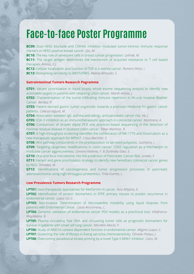**BC09:** Dual HER2 blockade and CDK4/6 inhibition modulate tumor-intrinsic immune response markers in HER2-positive breast cancer. *Qin, M.*

**BC10:** The key role of senescent cells in breast cancer progression. *Lalinde, M.*

**BC11:** The target antigen determines the mechanism of acquired resistance to T cell based therapies. *Arenas, E.J.*

**BC12:** Cellular localization and function of TGF-α in kidney cancer. *Romero-Pérez, I.*

**BC13:** Biomarking sensitivity to MEK5/ERK5. *Matilla-Almazán, S.*

#### **Gatrointestinal Tumors Research Pogramme**

**GT01:** Variant prioritization in liquid biopsy whole exome sequencing analysis to identify new actionable targets in patients with relapsing colon cancer. *Martín-Arana, J.*

**GT02:** Characterization of the tumor-infiltrating immune repertoire in Muscle Invasive Bladder Cancer. *Benítez, R.*

**GT03:** Patient-derived gastric tumor organoids: towards a precision medicine for gastric cancer patients. *Cabeza-Segura, M.*

**GT04:** Association between IgE, asthma and allergy, and pancreatic cancer risk. *He, J.*

**GT05:** GSK-3 inhibition as an immunotherapeutic approach in colorectal cancer. *Mantrana, A.*

**GT06:** Comparison of droplet digital PCR and amplicon-based sequencing in the detection of minimal residual disease in localized colon cancer. *Tébar-Martínez, R.*

**GT07:** A high-throughput screening identifies the combination of MK-1775 and Doxorubicin as a new therapeutic approach for MPNST. *Creus-Bachiller, E.*

**GT08:** Wnt pathway components in the predisposition to serrated polyposis. *Quintana, I.*

**GT09:** Targeting epigenetic modifications in colon cancer: CDX2 regulation as a mechanism to modulate cancer aggressiveness. *Gimeno-Valiente, F. & Duréndez-Sáez, E.*

**GT10:** Oral and fecal microbiome into the prediction of Pancreatic Cancer Risk. *Jurado, F.*

**GT11:** Variant and gene prioritization strategy to identify new hereditary colorectal cancer genes by NGS. *Terradas, M.*

**GT12:** Identifications of carcinogenesis and tumor progression processes in pancreatic adenocarcinoma using high-througput proteomics. *Trilla-Fuertes, L.*

### **Low Prevalence Tumors Research Programme**

**LPT01:** New therapeutic approaches for Metformin in cancer. *Ruiz-Mitjana, A.*

**LPT02:** Identification of protein biomarkers in FFPE primary tissues to predict recurrence in endometrial cancer. *Lopez-Gil, C.*

**LPT03:** Non-Invasive Determination of Microsatellite Instability using liquid biopsies from patients with Endometrial Cancer. *Casas-Arozamena, C.*

**LPT04:** Genomic validation of endometrial cancer PDX models as a preclinical tool. *Villafranca-Magdalena, B.*

**LPT05:** Plasma circulating free DNA and circulating tumor cells as prognostic biomarkers for survival in patients with small cell lung cancer. *Mondelo-Macía, P.*

**LPT06:** Study of ARID1A context-dependent function in endometrial cancer. *Megino-Luque ,C.*

**LPT07:** Dissecting the role of Rloops in Ewing sarcoma chemosensitivity. *Olmedo-Pelayo, J.*

**LPT08:** Overcoming paradoxical kinase priming by a novel Type II MNK1 inhibitor. *Cano, M.*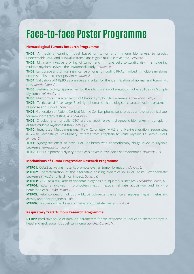### **Hematological Tumors Research Programme**

**TH01:** A machine learning model based on tumor and immune biomarkers to predict undetectable MRD and survival in transplant-eligible multiple myeloma. *Guerrero, C.*

**TH02:** Minimally invasive profiling of tumor and immune cells to stratify risk in smoldering multiple myeloma (SMM): the iMMunocell study. *Termini, R.*

**TH03:** Landscape and clinical significance of long non-coding RNAs involved in multiple myeloma expressed fusion transcripts. *Amundarain, A.*

**TH04:** Validation of NKp80 as a universal marker for the identification of normal and tumor NK cells. *Morán-Plata, F.J.*

**TH05:** Systems biology approaches for the identification of metabolic vulnerabilities in Multiple Myeloma. *Valcárcel, L.V.*

**TH06:** Multi-omics characterization of Chronic Lymphocytic Leukemia. *Landeira-Viñuela, A.*

**TH07:** Testicular diffuse large B-cell lymphoma: clinico-biological characterization, treatment response and survival. *López, C.*

**TH08:** Generation of Patient-Derived Mantle Cell Lymphoma spheroids as a novel preclinical tool for immunotherapy testing. *Araujo-Ayala, F.*

**TH09:** Circulating tumor cells (CTC) are the most relevant diagnostic biomarker in transplanteligible multiple myeloma (MM). *Garcés, J.J.*

**TH10:** Integrated Multidimensional Flow Cytometry (MFC) and Next-Generation Sequencing (NGS) to Reconstruct Evolutionary Patterns from Dysplasia to Acute Myeloid Leukemia (AML). *Simoes, C.*

**TH11:** Synergistic effect of novel DAC inhibitors with chemotherapy drugs in Acute Myeloid Leukemia. *Gimenez-Camino, N.*

**TH12:** DDIT3, a potential dyserythropoiesis driver in myelodisplstic syndromes. *Berastegui, N.*

### **Mechanisms of Tumor Progression Research Programme**

**MTP01:** RRAS2 activating mutants promote ovarian tumor formation. *Clavaín, L.*

**MTP02:** Characterization of the alternative splicing dynamics in T-Cell Acute Lymphoblastic Leukemia (T-ALL) and its clinical impact. *Guillén, Y.*

**MTP03:** VAV2 as a regulator of ribosome biogenesis in squamous lineages. *Fernández-Parejo, N.*

**MTP04:** IκBα is involved in pluripotency exit, mesodermal fate acquisition and in vitro hematopoiesis. *Galán-Palma, L.*

**MTP05:** Fetal conversion of p53 wildtype colorectal cancer cells imposes higher metastatic activity and poor prognosis. *Solé, L.*

**MTP06:** Uncovering the drivers of metastatic prostate cancer. *Ercilla, A.*

### **Respiratory Tract Tumors Research Programme**

**RTT01:** Predictive value of immune parameters for the response to induction chemotherapy in head and neck squamous cell carcinoma. *Sánchez-Canteli, M.*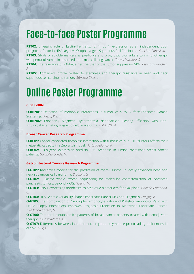**RTT02:** Emerging role of Lectin-like transcript 1 (LLT1) expression as an independent poor prognostic factor in HPV-Negative Oropharyngeal Squamous Cell Carcinoma. *Sánchez-Canteli, M.* **RTT03:** Study of soluble markers as predictive and prognostic biomarkers to immunotherapy with pembrolizumab in advanced non-small cell lung cancer. *Torres-Martínez, S.*

**RTT04:** The relevance of PAPPA, a new partner of the tumor suppressor SPN. *Espinosa-Sánchez, A.*

**RTT05:** Biomarkers profile related to stemness and therapy resistance in head and neck squamous cell carcinoma tumors. *Sánchez-Díaz, L.*

## **Online Poster Programme**

### **CIBER-BBN**

**O-BBN01:** Detection of metabolic interactions in tumor cells by Surface-Enhanced Raman Scattering. *Valera, P.S.*

**O-BBN02:** Enhancing Magnetic Hyperthermia Nanoparticle Heating Efficiency with Nonsinusoidal Alternating Magnetic Field Waveforms. *ZEINOUN, M.*

#### **Breast Cancer Research Programme**

**O-BC01:** Cancer associated fibroblast interaction with tumour cells in CTC clusters affects their metastatic capacity in a Zebrafish model. *Hurtado-Blanco, P.*

**O-BC02:** CTCs gene expression predicts CDKi response in luminal metastatic breast cancer patients. *González-Conde, M.*

#### **Gatrointestinal Tumors Research Pogramme**

**O-GT01:** Radiomics models for the prediction of overall survival in locally advanced head and neck squamous cell carcinoma. *Bruixola, G.*

**O-GT02:** Plasma whole exome sequencing for molecular characterization of advanced pancreatic tumors: beyond KRAS. *Huerta, M.*

**O-GT03:** SNAI1 expressing fibroblasts as predictive biomarkers for oxaliplatin. *Galindo-Pumariño, C.*

**O-GT04:** HLA Genetic Variability Shapes Pancreatic Cancer Risk and Prognosis. *Langtry, A.*

**O-GT05:** The Combination of Neutrophil-Lymphocyte Ratio and Platelet-Lymphocyte Ratio with Liquid Biopsy Biomarkers Improves Prognosis Prediction in Metastatic Pancreatic Cancer. *Toledano-Fonseca, M.*

**O-GT06:** Temporal metabolomics patterns of breast cancer patients treated with neoadjuvant therapy. *Zapater-Moros, A.*

**O-GT07:** Differences between inherited and acquired polymerase proofreading deficiencies in cancer*. Mur, P.*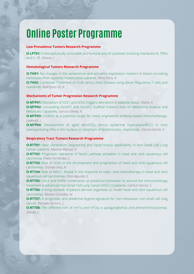## **Online Poster Programme**

### **Low Prevalence Tumors Research Programme**

**O-LPT01:** A therapeutically actionable pro-tumoral axis of cytokines involving interleukin-8, TNFα and IL-1β. *Olivera, I.*

### **Hematological Tumors Research Programme**

**O-TH01:** No changes in the senescence and activation expression markers in blood circulating monocytes from systemic mastocytosis patients. *Pérez-Pons, A.*

**O-TH02:** Combined Treatment of Graft versus Host Disease using donor Regulatory T cells and ruxolitinib. *Rodríguez-Gil, A.*

#### **Mechanisms of Tumor Progression Research Programme**

**O-MTP01:** Disruption of SOS1 and SOS2 triggers alterations in adipose tissue. *Olarte, A.*

**O-MTP02:** Unravelling IOGAP1 and IOGAP2 Scaffold Proteins Role on Melanoma Invasive and Metastatic Capacities. *García-Gómez, R.*

**O-MTP03:** CD44v6 as a potential target for newly engineered antibody-based immunotherapy. *Lodewijk, I.*

**O-MTP04:** Development of aged skin/SCCs versus epidermal hyperplasia/BCCs in mice overexpressing IKKα in the nucleus or cytoplasm of keratinocytes, respectively. *García-García, V.*

### **Respiratory Tract Tumors Research Programme**

**O-RTT01:** Next Generation Sequencing and liquid biopsy applicability in Non-Small Cell Lung Cancer patients. *Moreno-Manuel, A.*

**O-RTT02:** Prognostic relevance of Notch pathway activation in head and neck squamous cell carcinoma. *Prieto-Fernández, L.*

**O-RTT03:** Role of SOX2 in the development and progression of head and neck squamous cell carcinomas. *Granda-Díaz, R.*

**O-RTT04:** Role of MASTL Kinase in the response to radio- and chemotherapy in head and neck squamous cell carcinomas. *Pozo-Agundo, E.*

**O-RTT05:** LAG3 and HVEM combination as predictive biomarker to second-line immunotherapy treatment in advanced Non-Small Cell Lung Cancer (NSCLC) patients. *Gallach-García, S.*

**O-RTT06:** A living biobank of patient-derived organoids to model head and neck squamous cell carcinomas. *Álvarez-González, M.*

**O-RTT07:** A prognostic and predictive 6-gene-signature for non-metastatic non-small cell lung cancer. *Peinado-Serrano, J.*

**O-RTT08:** The different role of HIF1α and HIF2α in paragangliomas and pheochromocytomas. *Celada, L.*